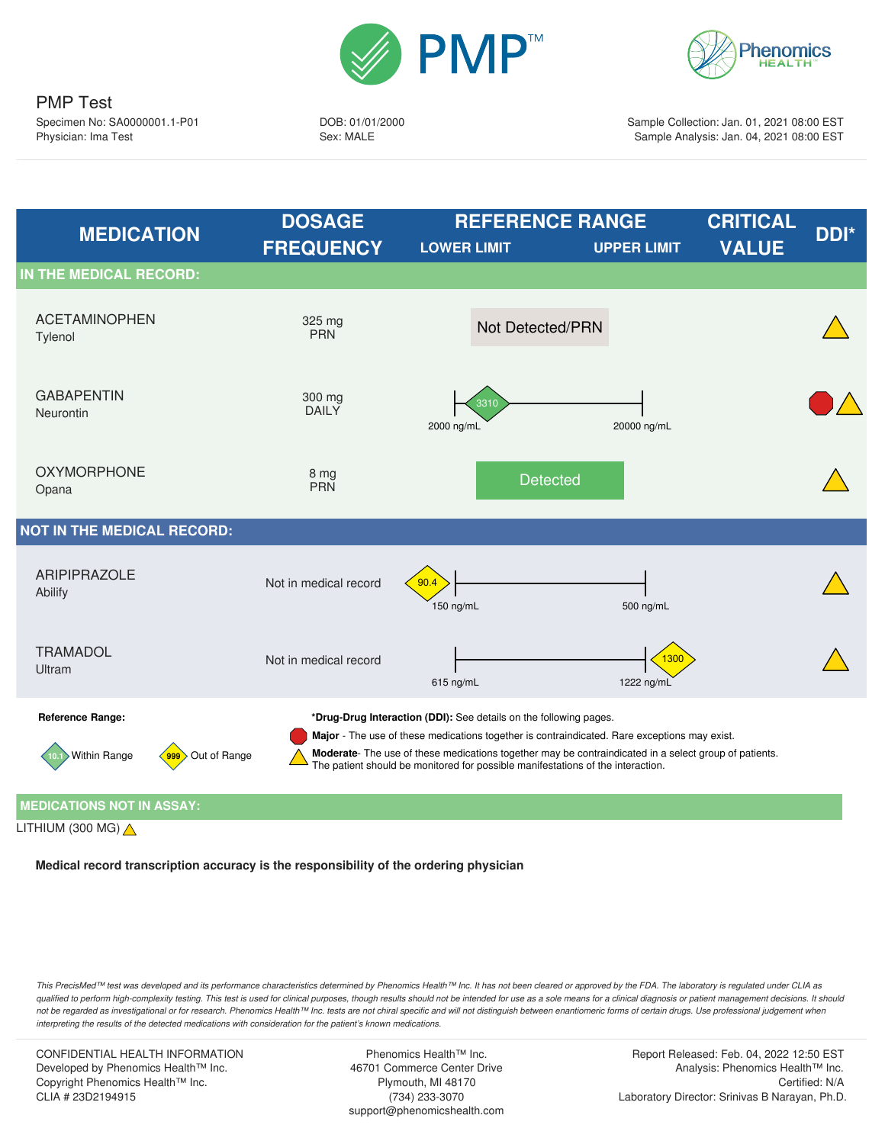



DOB: 01/01/2000 Sex: MALE

Sample Collection: Jan. 01, 2021 08:00 EST Sample Analysis: Jan. 04, 2021 08:00 EST



LITHIUM (300 MG)  $\triangle$ 

**Medical record transcription accuracy is the responsibility of the ordering physician**

*This PrecisMed™ test was developed and its performance characteristics determined by Phenomics Health™ Inc. It has not been cleared or approved by the FDA. The laboratory is regulated under CLIA as qualified to perform high-complexity testing. This test is used for clinical purposes, though results should not be intended for use as a sole means for a clinical diagnosis or patient management decisions. It should* not be regarded as investigational or for research. Phenomics Health™ Inc. tests are not chiral specific and will not distinguish between enantiomeric forms of certain drugs. Use professional judgement when *interpreting the results of the detected medications with consideration for the patient's known medications.*

CONFIDENTIAL HEALTH INFORMATION Developed by Phenomics Health™ Inc. Copyright Phenomics Health™ Inc. CLIA # 23D2194915

Phenomics Health™ Inc. 46701 Commerce Center Drive Plymouth, MI 48170 (734) 233-3070 support@phenomicshealth.com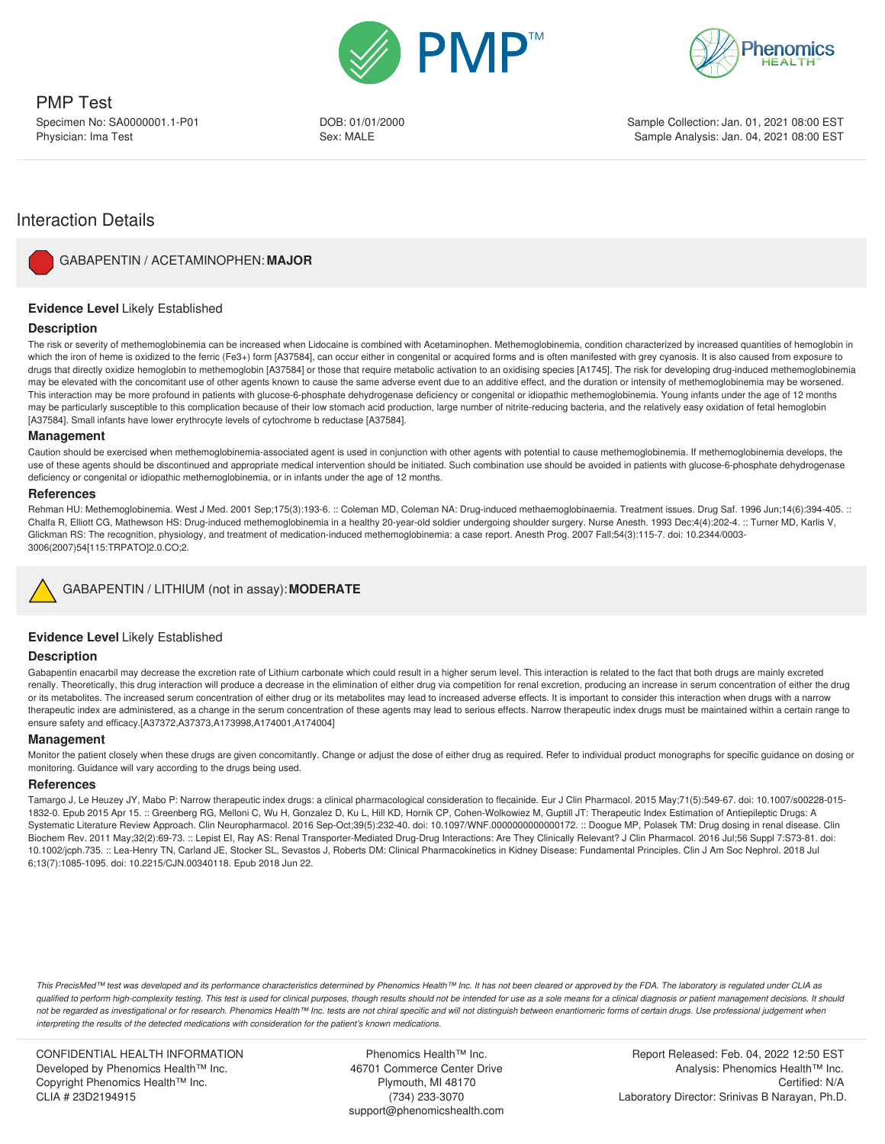



DOB: 01/01/2000 Sex: MALE

Sample Collection: Jan. 01, 2021 08:00 EST Sample Analysis: Jan. 04, 2021 08:00 EST

# Interaction Details



GABAPENTIN / ACETAMINOPHEN: **MAJOR**

## **Evidence Level** Likely Established

## **Description**

The risk or severity of methemoglobinemia can be increased when Lidocaine is combined with Acetaminophen. Methemoglobinemia, condition characterized by increased quantities of hemoglobin in which the iron of heme is oxidized to the ferric (Fe3+) form [A37584], can occur either in congenital or acquired forms and is often manifested with grey cyanosis. It is also caused from exposure to drugs that directly oxidize hemoglobin to methemoglobin [A37584] or those that require metabolic activation to an oxidising species [A1745]. The risk for developing drug-induced methemoglobinemia may be elevated with the concomitant use of other agents known to cause the same adverse event due to an additive effect, and the duration or intensity of methemoglobinemia may be worsened. This interaction may be more profound in patients with glucose-6-phosphate dehydrogenase deficiency or congenital or idiopathic methemoglobinemia. Young infants under the age of 12 months may be particularly susceptible to this complication because of their low stomach acid production, large number of nitrite-reducing bacteria, and the relatively easy oxidation of fetal hemoglobin [A37584]. Small infants have lower erythrocyte levels of cytochrome b reductase [A37584].

#### **Management**

Caution should be exercised when methemoglobinemia-associated agent is used in conjunction with other agents with potential to cause methemoglobinemia. If methemoglobinemia develops, the use of these agents should be discontinued and appropriate medical intervention should be initiated. Such combination use should be avoided in patients with glucose-6-phosphate dehydrogenase deficiency or congenital or idiopathic methemoglobinemia, or in infants under the age of 12 months.

#### **References**

Rehman HU: Methemoglobinemia. West J Med. 2001 Sep;175(3):193-6. :: Coleman MD, Coleman NA: Drug-induced methaemoglobinaemia. Treatment issues. Drug Saf. 1996 Jun;14(6):394-405. :: Chalfa R, Elliott CG, Mathewson HS: Drug-induced methemoglobinemia in a healthy 20-year-old soldier undergoing shoulder surgery. Nurse Anesth. 1993 Dec;4(4):202-4. :: Turner MD, Karlis V, Glickman RS: The recognition, physiology, and treatment of medication-induced methemoglobinemia: a case report. Anesth Prog. 2007 Fall;54(3):115-7. doi: 10.2344/0003- 3006(2007)54[115:TRPATO]2.0.CO;2.

## GABAPENTIN / LITHIUM (not in assay): **MODERATE**

## **Evidence Level** Likely Established

## **Description**

Gabapentin enacarbil may decrease the excretion rate of Lithium carbonate which could result in a higher serum level. This interaction is related to the fact that both drugs are mainly excreted renally. Theoretically, this drug interaction will produce a decrease in the elimination of either drug via competition for renal excretion, producing an increase in serum concentration of either the drug or its metabolites. The increased serum concentration of either drug or its metabolites may lead to increased adverse effects. It is important to consider this interaction when drugs with a narrow therapeutic index are administered, as a change in the serum concentration of these agents may lead to serious effects. Narrow therapeutic index drugs must be maintained within a certain range to ensure safety and efficacy.[A37372,A37373,A173998,A174001,A174004]

#### **Management**

Monitor the patient closely when these drugs are given concomitantly. Change or adjust the dose of either drug as required. Refer to individual product monographs for specific guidance on dosing or monitoring. Guidance will vary according to the drugs being used.

#### **References**

Tamargo J, Le Heuzey JY, Mabo P: Narrow therapeutic index drugs: a clinical pharmacological consideration to flecainide. Eur J Clin Pharmacol. 2015 May;71(5):549-67. doi: 10.1007/s00228-015- 1832-0. Epub 2015 Apr 15. :: Greenberg RG, Melloni C, Wu H, Gonzalez D, Ku L, Hill KD, Hornik CP, Cohen-Wolkowiez M, Guptill JT: Therapeutic Index Estimation of Antiepileptic Drugs: A Systematic Literature Review Approach. Clin Neuropharmacol. 2016 Sep-Oct;39(5):232-40. doi: 10.1097/WNF.0000000000000172. :: Doogue MP, Polasek TM: Drug dosing in renal disease. Clin Biochem Rev. 2011 May;32(2):69-73. :: Lepist EI, Ray AS: Renal Transporter-Mediated Drug-Drug Interactions: Are They Clinically Relevant? J Clin Pharmacol. 2016 Jul;56 Suppl 7:S73-81. doi: 10.1002/jcph.735. :: Lea-Henry TN, Carland JE, Stocker SL, Sevastos J, Roberts DM: Clinical Pharmacokinetics in Kidney Disease: Fundamental Principles. Clin J Am Soc Nephrol. 2018 Jul 6;13(7):1085-1095. doi: 10.2215/CJN.00340118. Epub 2018 Jun 22.

*This PrecisMed™ test was developed and its performance characteristics determined by Phenomics Health™ Inc. It has not been cleared or approved by the FDA. The laboratory is regulated under CLIA as qualified to perform high-complexity testing. This test is used for clinical purposes, though results should not be intended for use as a sole means for a clinical diagnosis or patient management decisions. It should* not be regarded as investigational or for research. Phenomics Health™ Inc. tests are not chiral specific and will not distinguish between enantiomeric forms of certain drugs. Use professional judgement when *interpreting the results of the detected medications with consideration for the patient's known medications.*

CONFIDENTIAL HEALTH INFORMATION Developed by Phenomics Health™ Inc. Copyright Phenomics Health™ Inc. CLIA # 23D2194915

Phenomics Health™ Inc. 46701 Commerce Center Drive Plymouth, MI 48170 (734) 233-3070 support@phenomicshealth.com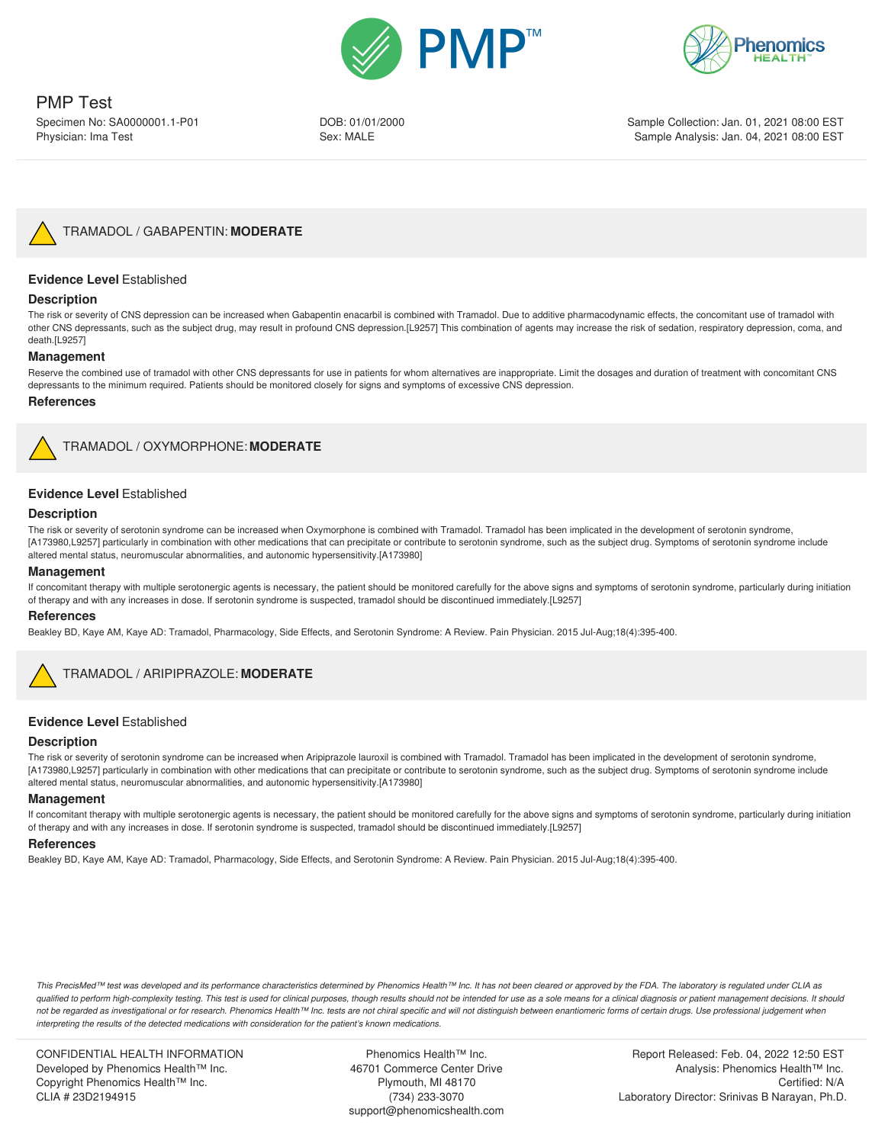



# PMP Test

Specimen No: SA0000001.1-P01 Physician: Ima Test

DOB: 01/01/2000 Sex: MALE

Sample Collection: Jan. 01, 2021 08:00 EST Sample Analysis: Jan. 04, 2021 08:00 EST



TRAMADOL / GABAPENTIN: **MODERATE**

## **Evidence Level** Established

## **Description**

The risk or severity of CNS depression can be increased when Gabapentin enacarbil is combined with Tramadol. Due to additive pharmacodynamic effects, the concomitant use of tramadol with other CNS depressants, such as the subject drug, may result in profound CNS depression.[L9257] This combination of agents may increase the risk of sedation, respiratory depression, coma, and death.[L9257]

#### **Management**

Reserve the combined use of tramadol with other CNS depressants for use in patients for whom alternatives are inappropriate. Limit the dosages and duration of treatment with concomitant CNS depressants to the minimum required. Patients should be monitored closely for signs and symptoms of excessive CNS depression.

#### **References**



TRAMADOL / OXYMORPHONE: **MODERATE**

#### **Evidence Level** Established

#### **Description**

The risk or severity of serotonin syndrome can be increased when Oxymorphone is combined with Tramadol. Tramadol has been implicated in the development of serotonin syndrome, [A173980,L9257] particularly in combination with other medications that can precipitate or contribute to serotonin syndrome, such as the subject drug. Symptoms of serotonin syndrome include altered mental status, neuromuscular abnormalities, and autonomic hypersensitivity.[A173980]

#### **Management**

If concomitant therapy with multiple serotonergic agents is necessary, the patient should be monitored carefully for the above signs and symptoms of serotonin syndrome, particularly during initiation of therapy and with any increases in dose. If serotonin syndrome is suspected, tramadol should be discontinued immediately.[L9257]

#### **References**

Beakley BD, Kaye AM, Kaye AD: Tramadol, Pharmacology, Side Effects, and Serotonin Syndrome: A Review. Pain Physician. 2015 Jul-Aug;18(4):395-400.



## TRAMADOL / ARIPIPRAZOLE: **MODERATE**

## **Evidence Level** Established

#### **Description**

The risk or severity of serotonin syndrome can be increased when Aripiprazole lauroxil is combined with Tramadol. Tramadol has been implicated in the development of serotonin syndrome, [A173980,L9257] particularly in combination with other medications that can precipitate or contribute to serotonin syndrome, such as the subject drug. Symptoms of serotonin syndrome include altered mental status, neuromuscular abnormalities, and autonomic hypersensitivity.[A173980]

#### **Management**

If concomitant therapy with multiple serotonergic agents is necessary, the patient should be monitored carefully for the above signs and symptoms of serotonin syndrome, particularly during initiation of therapy and with any increases in dose. If serotonin syndrome is suspected, tramadol should be discontinued immediately.[L9257]

#### **References**

Beakley BD, Kaye AM, Kaye AD: Tramadol, Pharmacology, Side Effects, and Serotonin Syndrome: A Review. Pain Physician. 2015 Jul-Aug;18(4):395-400.

*This PrecisMed™ test was developed and its performance characteristics determined by Phenomics Health™ Inc. It has not been cleared or approved by the FDA. The laboratory is regulated under CLIA as qualified to perform high-complexity testing. This test is used for clinical purposes, though results should not be intended for use as a sole means for a clinical diagnosis or patient management decisions. It should* not be regarded as investigational or for research. Phenomics Health™ Inc. tests are not chiral specific and will not distinguish between enantiomeric forms of certain drugs. Use professional judgement when *interpreting the results of the detected medications with consideration for the patient's known medications.*

CONFIDENTIAL HEALTH INFORMATION Developed by Phenomics Health™ Inc. Copyright Phenomics Health™ Inc. CLIA # 23D2194915

Phenomics Health™ Inc. 46701 Commerce Center Drive Plymouth, MI 48170 (734) 233-3070 support@phenomicshealth.com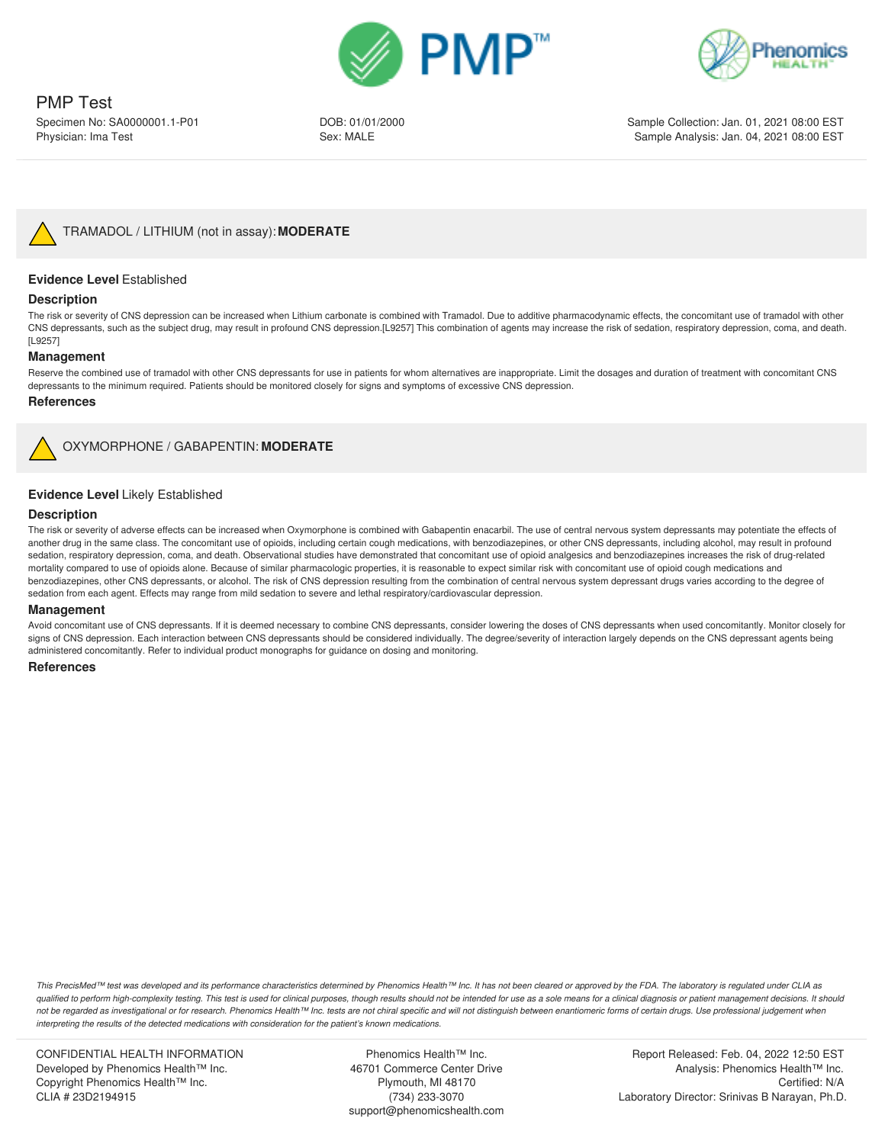



PMP Test Specimen No: SA0000001.1-P01

Physician: Ima Test

DOB: 01/01/2000 Sex: MALE

Sample Collection: Jan. 01, 2021 08:00 EST Sample Analysis: Jan. 04, 2021 08:00 EST



## **Evidence Level** Established

#### **Description**

The risk or severity of CNS depression can be increased when Lithium carbonate is combined with Tramadol. Due to additive pharmacodynamic effects, the concomitant use of tramadol with other CNS depressants, such as the subject drug, may result in profound CNS depression.[L9257] This combination of agents may increase the risk of sedation, respiratory depression, coma, and death. [L9257]

#### **Management**

Reserve the combined use of tramadol with other CNS depressants for use in patients for whom alternatives are inappropriate. Limit the dosages and duration of treatment with concomitant CNS depressants to the minimum required. Patients should be monitored closely for signs and symptoms of excessive CNS depression.

#### **References**



OXYMORPHONE / GABAPENTIN: **MODERATE**

## **Evidence Level** Likely Established

#### **Description**

The risk or severity of adverse effects can be increased when Oxymorphone is combined with Gabapentin enacarbil. The use of central nervous system depressants may potentiate the effects of another drug in the same class. The concomitant use of opioids, including certain cough medications, with benzodiazepines, or other CNS depressants, including alcohol, may result in profound sedation, respiratory depression, coma, and death. Observational studies have demonstrated that concomitant use of opioid analgesics and benzodiazepines increases the risk of drug-related mortality compared to use of opioids alone. Because of similar pharmacologic properties, it is reasonable to expect similar risk with concomitant use of opioid cough medications and benzodiazepines, other CNS depressants, or alcohol. The risk of CNS depression resulting from the combination of central nervous system depressant drugs varies according to the degree of sedation from each agent. Effects may range from mild sedation to severe and lethal respiratory/cardiovascular depression.

#### **Management**

Avoid concomitant use of CNS depressants. If it is deemed necessary to combine CNS depressants, consider lowering the doses of CNS depressants when used concomitantly. Monitor closely for signs of CNS depression. Each interaction between CNS depressants should be considered individually. The degree/severity of interaction largely depends on the CNS depressant agents being administered concomitantly. Refer to individual product monographs for guidance on dosing and monitoring.

#### **References**

*This PrecisMed™ test was developed and its performance characteristics determined by Phenomics Health™ Inc. It has not been cleared or approved by the FDA. The laboratory is regulated under CLIA as qualified to perform high-complexity testing. This test is used for clinical purposes, though results should not be intended for use as a sole means for a clinical diagnosis or patient management decisions. It should* not be regarded as investigational or for research. Phenomics Health™ Inc. tests are not chiral specific and will not distinguish between enantiomeric forms of certain drugs. Use professional judgement when *interpreting the results of the detected medications with consideration for the patient's known medications.*

CONFIDENTIAL HEALTH INFORMATION Developed by Phenomics Health™ Inc. Copyright Phenomics Health™ Inc. CLIA # 23D2194915

Phenomics Health™ Inc. 46701 Commerce Center Drive Plymouth, MI 48170 (734) 233-3070 support@phenomicshealth.com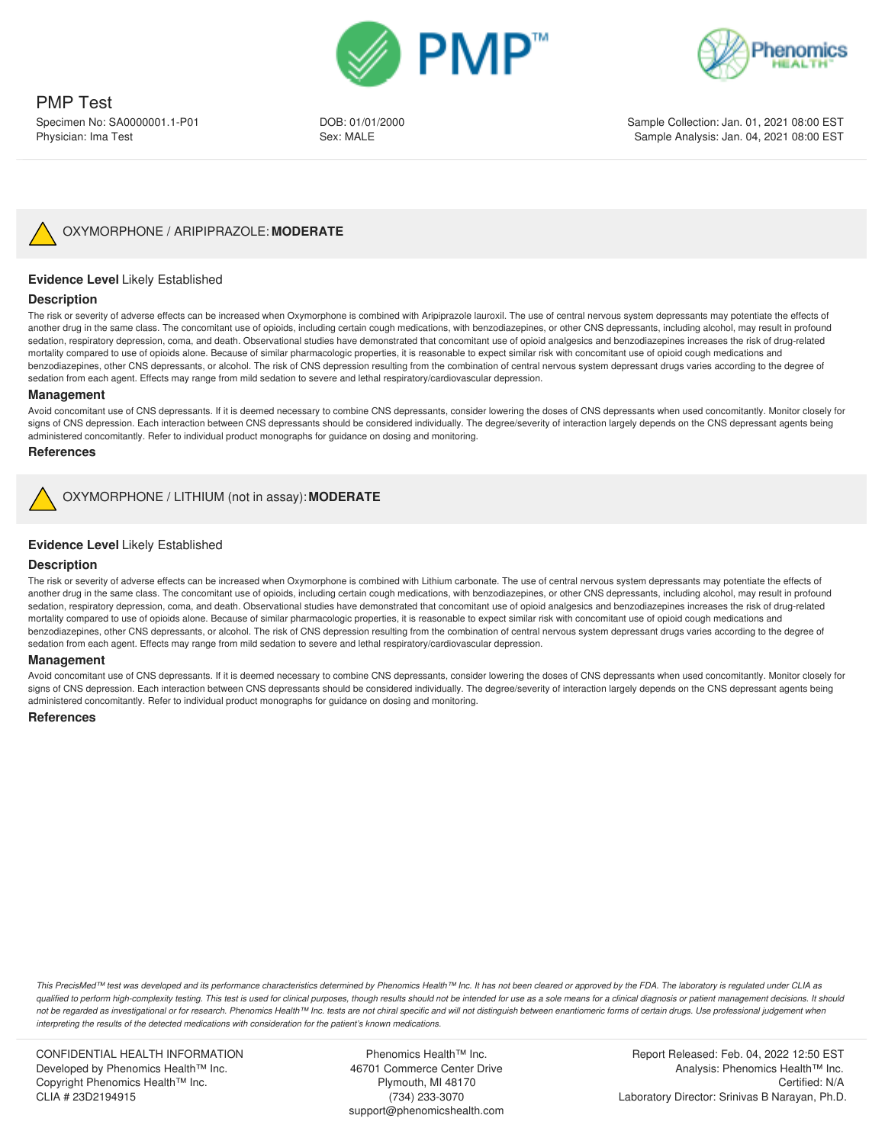



DOB: 01/01/2000 Sex: MALE

Sample Collection: Jan. 01, 2021 08:00 EST Sample Analysis: Jan. 04, 2021 08:00 EST



## **Evidence Level** Likely Established

#### **Description**

The risk or severity of adverse effects can be increased when Oxymorphone is combined with Aripiprazole lauroxil. The use of central nervous system depressants may potentiate the effects of another drug in the same class. The concomitant use of opioids, including certain cough medications, with benzodiazepines, or other CNS depressants, including alcohol, may result in profound sedation, respiratory depression, coma, and death. Observational studies have demonstrated that concomitant use of opioid analgesics and benzodiazepines increases the risk of drug-related mortality compared to use of opioids alone. Because of similar pharmacologic properties, it is reasonable to expect similar risk with concomitant use of opioid cough medications and benzodiazepines, other CNS depressants, or alcohol. The risk of CNS depression resulting from the combination of central nervous system depressant drugs varies according to the degree of sedation from each agent. Effects may range from mild sedation to severe and lethal respiratory/cardiovascular depression.

#### **Management**

Avoid concomitant use of CNS depressants. If it is deemed necessary to combine CNS depressants, consider lowering the doses of CNS depressants when used concomitantly. Monitor closely for signs of CNS depression. Each interaction between CNS depressants should be considered individually. The degree/severity of interaction largely depends on the CNS depressant agents being administered concomitantly. Refer to individual product monographs for guidance on dosing and monitoring.

#### **References**

OXYMORPHONE / LITHIUM (not in assay): **MODERATE**

## **Evidence Level** Likely Established

#### **Description**

The risk or severity of adverse effects can be increased when Oxymorphone is combined with Lithium carbonate. The use of central nervous system depressants may potentiate the effects of another drug in the same class. The concomitant use of opioids, including certain cough medications, with benzodiazepines, or other CNS depressants, including alcohol, may result in profound sedation, respiratory depression, coma, and death. Observational studies have demonstrated that concomitant use of opioid analgesics and benzodiazepines increases the risk of drug-related mortality compared to use of opioids alone. Because of similar pharmacologic properties, it is reasonable to expect similar risk with concomitant use of opioid cough medications and benzodiazepines, other CNS depressants, or alcohol. The risk of CNS depression resulting from the combination of central nervous system depressant drugs varies according to the degree of sedation from each agent. Effects may range from mild sedation to severe and lethal respiratory/cardiovascular depression.

#### **Management**

Avoid concomitant use of CNS depressants. If it is deemed necessary to combine CNS depressants, consider lowering the doses of CNS depressants when used concomitantly. Monitor closely for signs of CNS depression. Each interaction between CNS depressants should be considered individually. The degree/severity of interaction largely depends on the CNS depressant agents being administered concomitantly. Refer to individual product monographs for guidance on dosing and monitoring.

#### **References**

*This PrecisMed™ test was developed and its performance characteristics determined by Phenomics Health™ Inc. It has not been cleared or approved by the FDA. The laboratory is regulated under CLIA as qualified to perform high-complexity testing. This test is used for clinical purposes, though results should not be intended for use as a sole means for a clinical diagnosis or patient management decisions. It should* not be regarded as investigational or for research. Phenomics Health™ Inc. tests are not chiral specific and will not distinguish between enantiomeric forms of certain drugs. Use professional judgement when *interpreting the results of the detected medications with consideration for the patient's known medications.*

CONFIDENTIAL HEALTH INFORMATION Developed by Phenomics Health™ Inc. Copyright Phenomics Health™ Inc. CLIA # 23D2194915

Phenomics Health™ Inc. 46701 Commerce Center Drive Plymouth, MI 48170 (734) 233-3070 support@phenomicshealth.com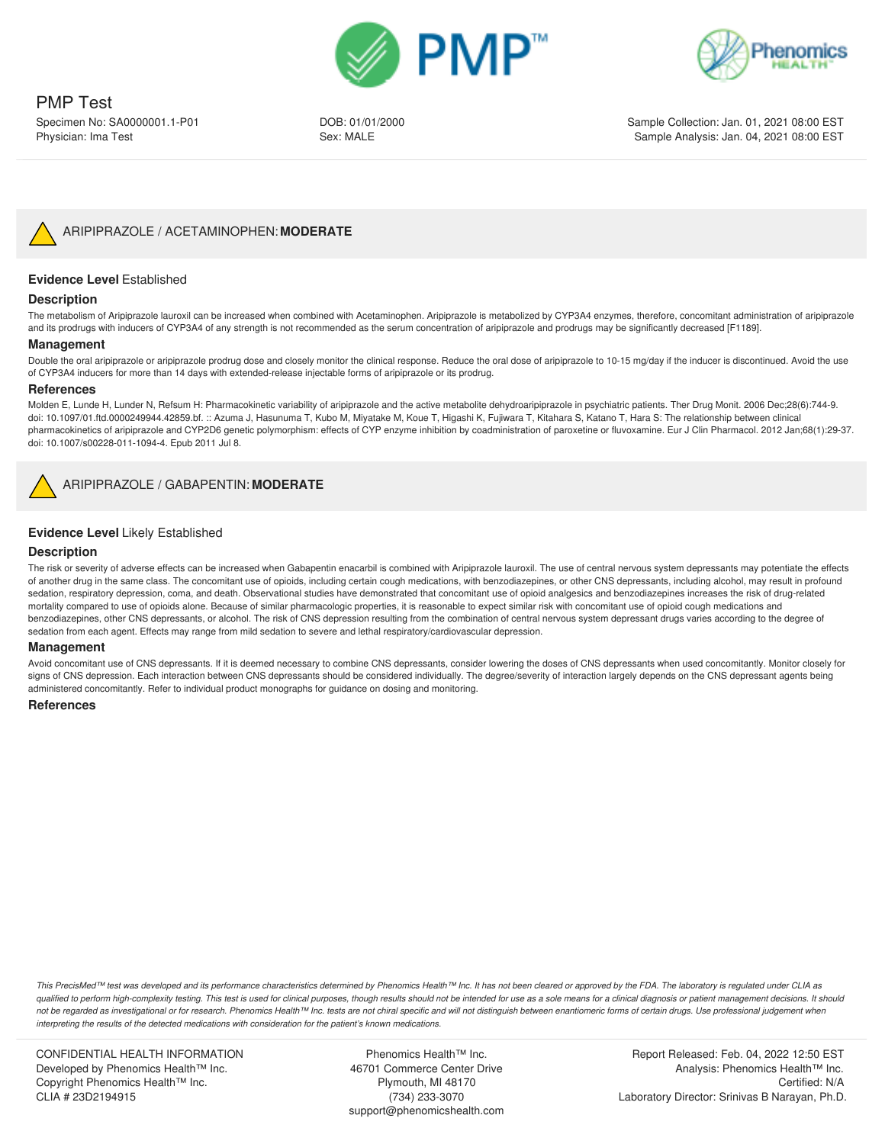



DOB: 01/01/2000 Sex: MALE

Sample Collection: Jan. 01, 2021 08:00 EST Sample Analysis: Jan. 04, 2021 08:00 EST



## **Evidence Level** Established

#### **Description**

The metabolism of Aripiprazole lauroxil can be increased when combined with Acetaminophen. Aripiprazole is metabolized by CYP3A4 enzymes, therefore, concomitant administration of aripiprazole and its prodrugs with inducers of CYP3A4 of any strength is not recommended as the serum concentration of aripiprazole and prodrugs may be significantly decreased [F1189].

#### **Management**

Double the oral aripiprazole or aripiprazole prodrug dose and closely monitor the clinical response. Reduce the oral dose of aripiprazole to 10-15 mg/day if the inducer is discontinued. Avoid the use of CYP3A4 inducers for more than 14 days with extended-release injectable forms of aripiprazole or its prodrug.

#### **References**

Molden E, Lunde H, Lunder N, Refsum H: Pharmacokinetic variability of aripiprazole and the active metabolite dehydroaripiprazole in psychiatric patients. Ther Drug Monit. 2006 Dec;28(6):744-9. doi: 10.1097/01.ftd.0000249944.42859.bf. :: Azuma J, Hasunuma T, Kubo M, Miyatake M, Koue T, Higashi K, Fujiwara T, Kitahara S, Katano T, Hara S: The relationship between clinical pharmacokinetics of aripiprazole and CYP2D6 genetic polymorphism: effects of CYP enzyme inhibition by coadministration of paroxetine or fluvoxamine. Eur J Clin Pharmacol. 2012 Jan;68(1):29-37. doi: 10.1007/s00228-011-1094-4. Epub 2011 Jul 8.



## ARIPIPRAZOLE / GABAPENTIN: **MODERATE**

## **Evidence Level** Likely Established

#### **Description**

The risk or severity of adverse effects can be increased when Gabapentin enacarbil is combined with Aripiprazole lauroxil. The use of central nervous system depressants may potentiate the effects of another drug in the same class. The concomitant use of opioids, including certain cough medications, with benzodiazepines, or other CNS depressants, including alcohol, may result in profound sedation, respiratory depression, coma, and death. Observational studies have demonstrated that concomitant use of opioid analgesics and benzodiazepines increases the risk of drug-related mortality compared to use of opioids alone. Because of similar pharmacologic properties, it is reasonable to expect similar risk with concomitant use of opioid cough medications and benzodiazepines, other CNS depressants, or alcohol. The risk of CNS depression resulting from the combination of central nervous system depressant drugs varies according to the degree of sedation from each agent. Effects may range from mild sedation to severe and lethal respiratory/cardiovascular depression.

#### **Management**

Avoid concomitant use of CNS depressants. If it is deemed necessary to combine CNS depressants, consider lowering the doses of CNS depressants when used concomitantly. Monitor closely for signs of CNS depression. Each interaction between CNS depressants should be considered individually. The degree/severity of interaction largely depends on the CNS depressant agents being administered concomitantly. Refer to individual product monographs for guidance on dosing and monitoring.

#### **References**

*This PrecisMed™ test was developed and its performance characteristics determined by Phenomics Health™ Inc. It has not been cleared or approved by the FDA. The laboratory is regulated under CLIA as qualified to perform high-complexity testing. This test is used for clinical purposes, though results should not be intended for use as a sole means for a clinical diagnosis or patient management decisions. It should* not be regarded as investigational or for research. Phenomics Health™ Inc. tests are not chiral specific and will not distinguish between enantiomeric forms of certain drugs. Use professional judgement when *interpreting the results of the detected medications with consideration for the patient's known medications.*

CONFIDENTIAL HEALTH INFORMATION Developed by Phenomics Health™ Inc. Copyright Phenomics Health™ Inc. CLIA # 23D2194915

Phenomics Health™ Inc. 46701 Commerce Center Drive Plymouth, MI 48170 (734) 233-3070 support@phenomicshealth.com